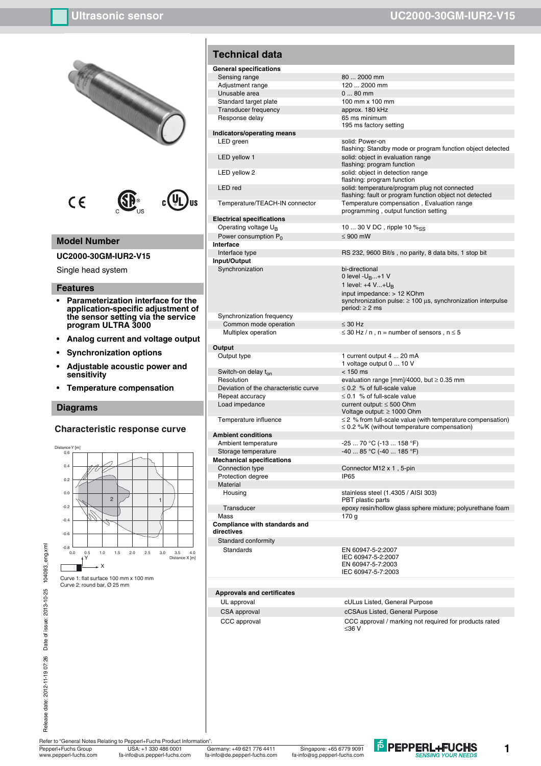

Refer to "General Notes Relating to Pepperl+Fuchs Product Information"<br>Pepperl+Fuchs Group USA: +1 330 486 0001

ww.pepperl-fuchs.com fa-info@us.pepperl-fuchs.com fa-info@de.pepperl-fuchs.com fa-info@sg.pepperl-fuchs.com

Pepperl+Fuchs Group Germany: +49 621 776 4411 USA: +1 330 486 0001 Singapore: +65 6779 9091



**1**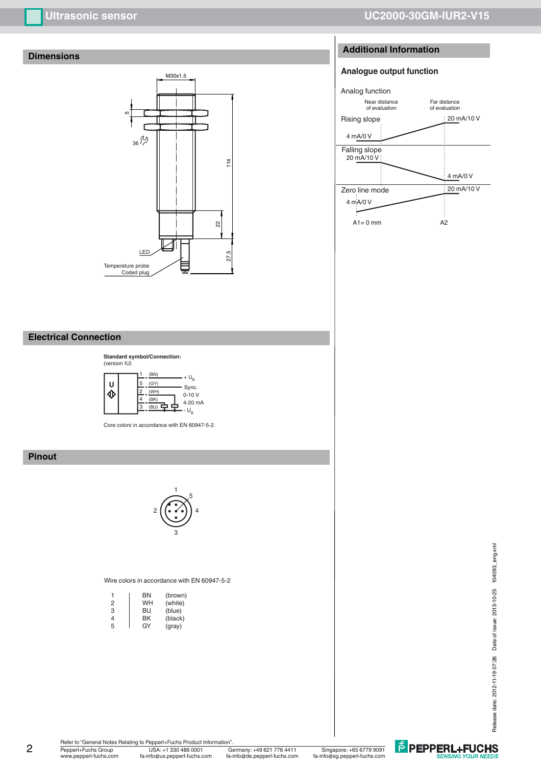# **Dimensions**



# **Ultrasonic sensor UC2000-30GM-IUR2-V15**

# **Additional Information**

# **Analogue output function**



# **Electrical Connection**



Core colors in accordance with EN 60947-5-2.

# **Pinout**



#### Wire colors in accordance with EN 60947-5-2

| 1 | ΒN | (brown) |
|---|----|---------|
| 2 | WH | (white) |
| 3 | BU | (blue)  |
| 4 | ΒK | (black) |
| 5 | GY | (gray)  |

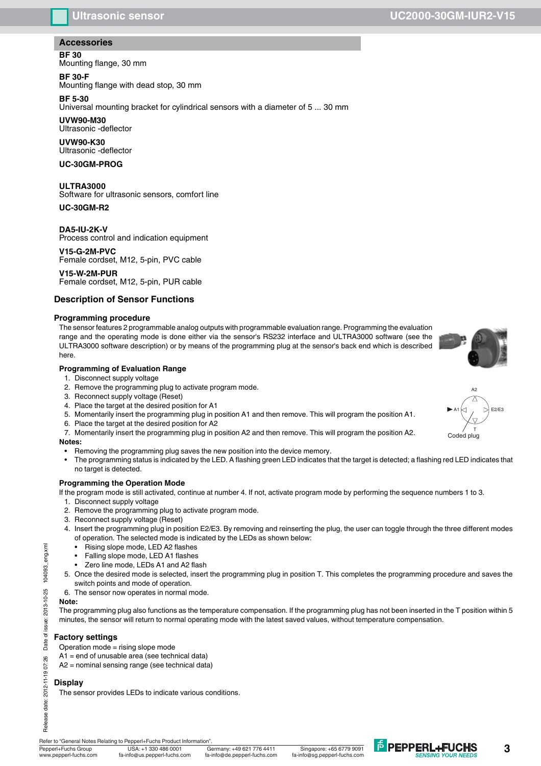# **Accessories**

**BF 30**

Mounting flange, 30 mm

### **BF 30-F**

Mounting flange with dead stop, 30 mm

# **BF 5-30**

Universal mounting bracket for cylindrical sensors with a diameter of 5 ... 30 mm

#### **UVW90-M30**

Ultrasonic -deflector

### **UVW90-K30**

Ultrasonic -deflector

**UC-30GM-PROG**

# **ULTRA3000**

Software for ultrasonic sensors, comfort line

### **UC-30GM-R2**

**DA5-IU-2K-V** Process control and indication equipment

**V15-G-2M-PVC** Female cordset, M12, 5-pin, PVC cable

### **V15-W-2M-PUR** Female cordset, M12, 5-pin, PUR cable

# **Description of Sensor Functions**

#### **Programming procedure**

The sensor features 2 programmable analog outputs with programmable evaluation range. Programming the evaluation range and the operating mode is done either via the sensor's RS232 interface and ULTRA3000 software (see the ULTRA3000 software description) or by means of the programming plug at the sensor's back end which is described here.

#### **Programming of Evaluation Range**

- 1. Disconnect supply voltage
- 2. Remove the programming plug to activate program mode.
- 3. Reconnect supply voltage (Reset)
- 4. Place the target at the desired position for A1
- 5. Momentarily insert the programming plug in position A1 and then remove. This will program the position A1.
- 6. Place the target at the desired position for A2
- 7. Momentarily insert the programming plug in position A2 and then remove. This will program the position A2.

#### **Notes:**

- Removing the programming plug saves the new position into the device memory.
- The programming status is indicated by the LED. A flashing green LED indicates that the target is detected; a flashing red LED indicates that no target is detected.

# **Programming the Operation Mode**

If the program mode is still activated, continue at number 4. If not, activate program mode by performing the sequence numbers 1 to 3.

- 1. Disconnect supply voltage
- 2. Remove the programming plug to activate program mode.
- 3. Reconnect supply voltage (Reset)
- 4. Insert the programming plug in position E2/E3. By removing and reinserting the plug, the user can toggle through the three different modes of operation. The selected mode is indicated by the LEDs as shown below:
	- Rising slope mode, LED A2 flashes
	- Falling slope mode, LED A1 flashes
	- Zero line mode, LEDs A1 and A2 flash
- 5. Once the desired mode is selected, insert the programming plug in position T. This completes the programming procedure and saves the switch points and mode of operation.
- 6. The sensor now operates in normal mode.

# **Note:**

Release date: 2012-11-19 07:26 Date of issue: 2013-10-25 104093\_eng.xml

 $\overline{5}$ Date

2012-11-19 07:26

Release date:

issue: 2013-10-25

104093\_eng.xml

The programming plug also functions as the temperature compensation. If the programming plug has not been inserted in the T position within 5 minutes, the sensor will return to normal operating mode with the latest saved values, without temperature compensation.

# **Factory settings**

Operation mode = rising slope mode

A1 = end of unusable area (see technical data)

A2 = nominal sensing range (see technical data)

# **Display**

The sensor provides LEDs to indicate various conditions.



Pepperl+Fuchs Group Germany: +49 621 776 4411 USA: +1 330 486 0001 Singapore: +65 6779 9091

www.pepperl-fuchs.com fa-info@us.pepperl-fuchs.com fa-info@de.pepperl-fuchs.com fa-info@sg.pepperl-fuchs.com

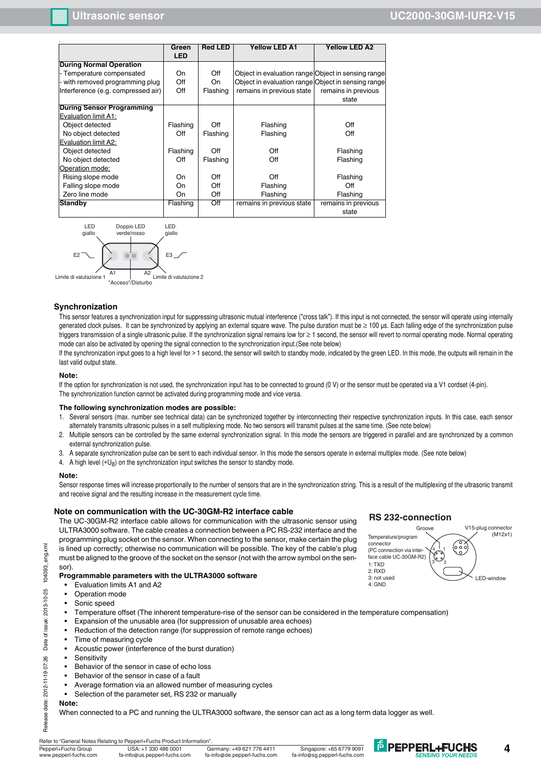| Off<br><b>On</b><br>Flashing | Object in evaluation range Object in sensing range<br>Object in evaluation range Object in sensing range<br>remains in previous state | remains in previous<br>state |
|------------------------------|---------------------------------------------------------------------------------------------------------------------------------------|------------------------------|
|                              |                                                                                                                                       |                              |
|                              |                                                                                                                                       |                              |
|                              |                                                                                                                                       |                              |
|                              |                                                                                                                                       |                              |
|                              |                                                                                                                                       |                              |
|                              |                                                                                                                                       |                              |
|                              |                                                                                                                                       |                              |
|                              |                                                                                                                                       |                              |
|                              |                                                                                                                                       | Off                          |
| Flashing                     | Flashing                                                                                                                              | Off                          |
|                              |                                                                                                                                       |                              |
| Off<br>Flashing              | Off                                                                                                                                   | Flashing                     |
| Flashing                     | Off                                                                                                                                   | Flashing                     |
|                              |                                                                                                                                       |                              |
| Off                          | Off                                                                                                                                   | Flashing                     |
| Off                          | Flashing                                                                                                                              | Off                          |
| Off                          | Flashing                                                                                                                              | Flashing                     |
| Off<br>Flashing              | remains in previous state                                                                                                             | remains in previous          |
|                              |                                                                                                                                       | state                        |
|                              |                                                                                                                                       | Off<br>Flashing<br>Flashing  |



#### **Synchronization**

This sensor features a synchronization input for suppressing ultrasonic mutual interference ("cross talk"). If this input is not connected, the sensor will operate using internally generated clock pulses. It can be synchronized by applying an external square wave. The pulse duration must be ≥ 100 µs. Each falling edge of the synchronization pulse triggers transmission of a single ultrasonic pulse. If the synchronization signal remains low for ≥ 1 second, the sensor will revert to normal operating mode. Normal operating mode can also be activated by opening the signal connection to the synchronization input.(See note below)

If the synchronization input goes to a high level for > 1 second, the sensor will switch to standby mode, indicated by the green LED. In this mode, the outputs will remain in the last valid output state.

#### **Note:**

If the option for synchronization is not used, the synchronization input has to be connected to ground (0 V) or the sensor must be operated via a V1 cordset (4-pin). The synchronization function cannot be activated during programming mode and vice versa.

#### **The following synchronization modes are possible:**

- 1. Several sensors (max. number see technical data) can be synchronized together by interconnecting their respective synchronization inputs. In this case, each sensor alternately transmits ultrasonic pulses in a self multiplexing mode. No two sensors will transmit pulses at the same time. (See note below)
- 2. Multiple sensors can be controlled by the same external synchronization signal. In this mode the sensors are triggered in parallel and are synchronized by a common external synchronization pulse.
- 3. A separate synchronization pulse can be sent to each individual sensor. In this mode the sensors operate in external multiplex mode. (See note below)
- 4. A high level  $(+U_B)$  on the synchronization input switches the sensor to standby mode.

#### **Note:**

Sensor response times will increase proportionally to the number of sensors that are in the synchronization string. This is a result of the multiplexing of the ultrasonic transmit and receive signal and the resulting increase in the measurement cycle time.

#### **Note on communication with the UC-30GM-R2 interface cable**

The UC-30GM-R2 interface cable allows for communication with the ultrasonic sensor using ULTRA3000 software. The cable creates a connection between a PC RS-232 interface and the programming plug socket on the sensor. When connecting to the sensor, make certain the plug is lined up correctly; otherwise no communication will be possible. The key of the cable's plug must be aligned to the groove of the socket on the sensor (not with the arrow symbol on the sensor).

#### **Programmable parameters with the ULTRA3000 software**

- Evaluation limits A1 and A2
- Operation mode
- Sonic speed
- Temperature offset (The inherent temperature-rise of the sensor can be considered in the temperature compensation)
- Expansion of the unusable area (for suppression of unusable area echoes)
- Reduction of the detection range (for suppression of remote range echoes)
- Time of measuring cycle
- Acoustic power (interference of the burst duration)
- Sensitivity
- Behavior of the sensor in case of echo loss
- Behavior of the sensor in case of a fault
- Average formation via an allowed number of measuring cycles
- Selection of the parameter set, RS 232 or manually

#### **Note:**

Release date: 2012-11-19 07:26 Date of issue: 2013-10-25 104093\_eng.xml

Date

2012-11-19 07:26

Release date:

of issue: 2013-10-25

104093\_eng.xml

When connected to a PC and running the ULTRA3000 software, the sensor can act as a long term data logger as well.

#### Refer to "General Notes Relating to Pepperl+Fuchs Product Information

Pepperl+Fuchs Group Germany: +49 621 776 4411 USA: +1 330 486 0001 Singapore: +65 6779 9091 .<br>w.pepperl-fuchs.com fa-info@us.pepperl-fuchs.com fa-info@de.pepperl-fuchs.com fa-info@sg.pepperl-fuchs.com





**E** PEPPERL+FUCHS

**4**